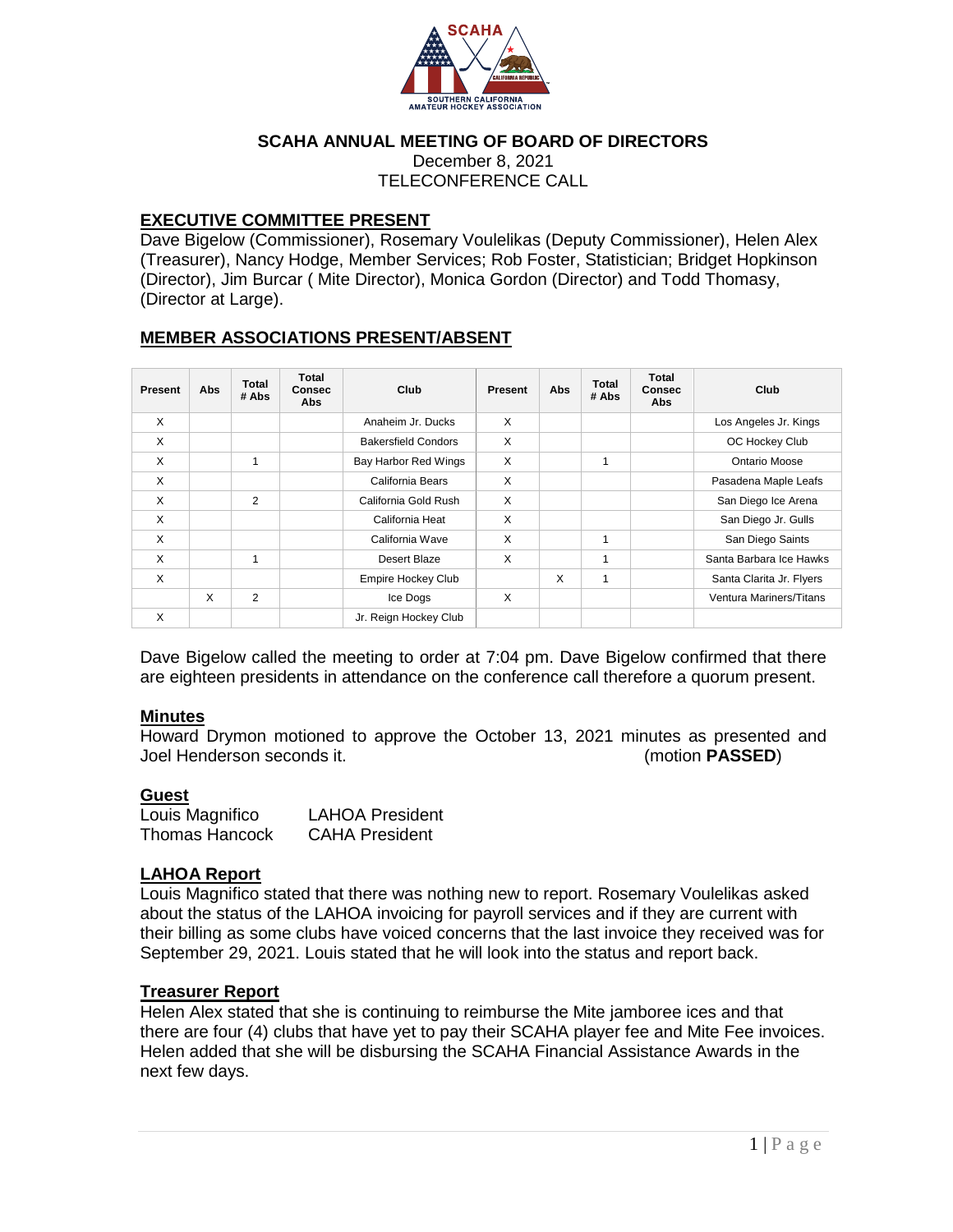

### **SCAHA ANNUAL MEETING OF BOARD OF DIRECTORS**

December 8, 2021 TELECONFERENCE CALL

### **EXECUTIVE COMMITTEE PRESENT**

Dave Bigelow (Commissioner), Rosemary Voulelikas (Deputy Commissioner), Helen Alex (Treasurer), Nancy Hodge, Member Services; Rob Foster, Statistician; Bridget Hopkinson (Director), Jim Burcar ( Mite Director), Monica Gordon (Director) and Todd Thomasy, (Director at Large).

## **MEMBER ASSOCIATIONS PRESENT/ABSENT**

| Present | Abs | <b>Total</b><br># Abs | Total<br><b>Consec</b><br><b>Abs</b> | Club                       | Present | Abs | <b>Total</b><br># Abs | <b>Total</b><br><b>Consec</b><br>Abs | Club                     |
|---------|-----|-----------------------|--------------------------------------|----------------------------|---------|-----|-----------------------|--------------------------------------|--------------------------|
| X       |     |                       |                                      | Anaheim Jr. Ducks          | X       |     |                       |                                      | Los Angeles Jr. Kings    |
| X       |     |                       |                                      | <b>Bakersfield Condors</b> | X       |     |                       |                                      | OC Hockey Club           |
| X       |     | 1                     |                                      | Bay Harbor Red Wings       | X       |     | 1                     |                                      | Ontario Moose            |
| X       |     |                       |                                      | California Bears           | X       |     |                       |                                      | Pasadena Maple Leafs     |
| X       |     | $\overline{2}$        |                                      | California Gold Rush       | X       |     |                       |                                      | San Diego Ice Arena      |
| X       |     |                       |                                      | California Heat            | X       |     |                       |                                      | San Diego Jr. Gulls      |
| X       |     |                       |                                      | California Wave            | X       |     | 1                     |                                      | San Diego Saints         |
| X       |     |                       |                                      | Desert Blaze               | X       |     | 1                     |                                      | Santa Barbara Ice Hawks  |
| X       |     |                       |                                      | <b>Empire Hockey Club</b>  |         | X   | 1                     |                                      | Santa Clarita Jr. Flyers |
|         | X   | 2                     |                                      | Ice Dogs                   | X       |     |                       |                                      | Ventura Mariners/Titans  |
| X       |     |                       |                                      | Jr. Reign Hockey Club      |         |     |                       |                                      |                          |

Dave Bigelow called the meeting to order at 7:04 pm. Dave Bigelow confirmed that there are eighteen presidents in attendance on the conference call therefore a quorum present.

#### **Minutes**

Howard Drymon motioned to approve the October 13, 2021 minutes as presented and Joel Henderson seconds it. (motion **PASSED**)

#### **Guest**

| Louis Magnifico       | <b>LAHOA President</b> |
|-----------------------|------------------------|
| <b>Thomas Hancock</b> | <b>CAHA President</b>  |

### **LAHOA Report**

Louis Magnifico stated that there was nothing new to report. Rosemary Voulelikas asked about the status of the LAHOA invoicing for payroll services and if they are current with their billing as some clubs have voiced concerns that the last invoice they received was for September 29, 2021. Louis stated that he will look into the status and report back.

#### **Treasurer Report**

Helen Alex stated that she is continuing to reimburse the Mite jamboree ices and that there are four (4) clubs that have yet to pay their SCAHA player fee and Mite Fee invoices. Helen added that she will be disbursing the SCAHA Financial Assistance Awards in the next few days.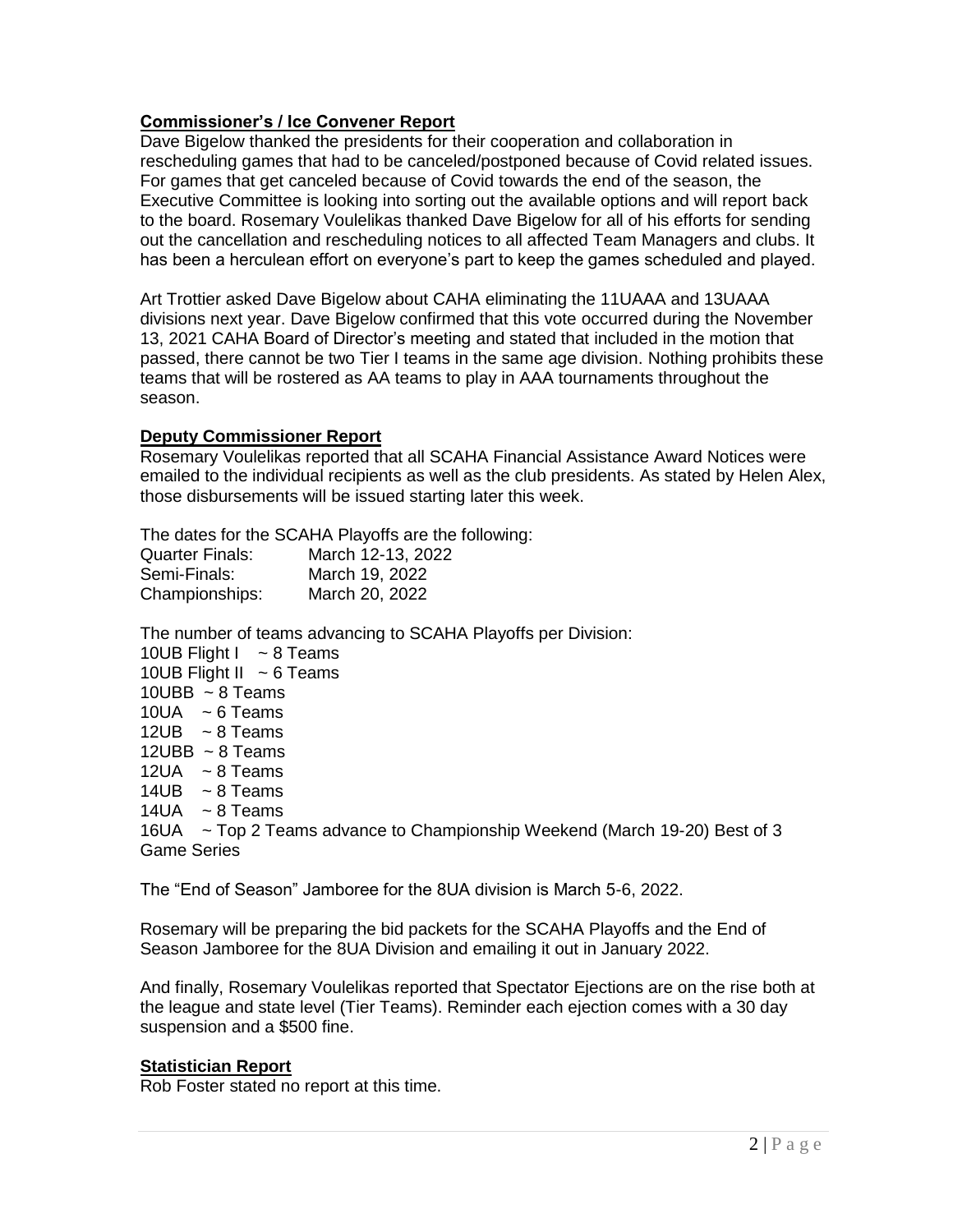## **Commissioner's / Ice Convener Report**

Dave Bigelow thanked the presidents for their cooperation and collaboration in rescheduling games that had to be canceled/postponed because of Covid related issues. For games that get canceled because of Covid towards the end of the season, the Executive Committee is looking into sorting out the available options and will report back to the board. Rosemary Voulelikas thanked Dave Bigelow for all of his efforts for sending out the cancellation and rescheduling notices to all affected Team Managers and clubs. It has been a herculean effort on everyone's part to keep the games scheduled and played.

Art Trottier asked Dave Bigelow about CAHA eliminating the 11UAAA and 13UAAA divisions next year. Dave Bigelow confirmed that this vote occurred during the November 13, 2021 CAHA Board of Director's meeting and stated that included in the motion that passed, there cannot be two Tier I teams in the same age division. Nothing prohibits these teams that will be rostered as AA teams to play in AAA tournaments throughout the season.

## **Deputy Commissioner Report**

Rosemary Voulelikas reported that all SCAHA Financial Assistance Award Notices were emailed to the individual recipients as well as the club presidents. As stated by Helen Alex, those disbursements will be issued starting later this week.

The dates for the SCAHA Playoffs are the following: Quarter Finals: March 12-13, 2022 Semi-Finals: March 19, 2022 Championships: March 20, 2022

The number of teams advancing to SCAHA Playoffs per Division:

| 10UB Flight $1 \approx 8$ Teams                                            |
|----------------------------------------------------------------------------|
| 10UB Flight II $\sim$ 6 Teams                                              |
| 10UBB $\sim$ 8 Teams                                                       |
| 10UA $\sim$ 6 Teams                                                        |
| 12UB $\sim$ 8 Teams                                                        |
| 12UBB $\sim$ 8 Teams                                                       |
| 12UA $\sim$ 8 Teams                                                        |
| 14UB $\sim$ 8 Teams                                                        |
| 14UA ~ $8$ Teams                                                           |
| 16UA ~ Top 2 Teams advance to Championship Weekend (March 19-20) Best of 3 |
| <b>Game Series</b>                                                         |
|                                                                            |

The "End of Season" Jamboree for the 8UA division is March 5-6, 2022.

Rosemary will be preparing the bid packets for the SCAHA Playoffs and the End of Season Jamboree for the 8UA Division and emailing it out in January 2022.

And finally, Rosemary Voulelikas reported that Spectator Ejections are on the rise both at the league and state level (Tier Teams). Reminder each ejection comes with a 30 day suspension and a \$500 fine.

# **Statistician Report**

Rob Foster stated no report at this time.